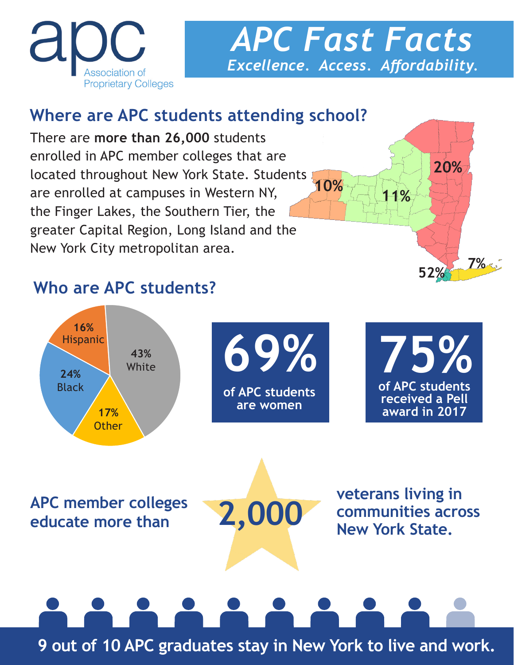

*APC Fast Facts Excellence. Access. Affordability.*

**20%**

**52%**

**11%**

**7%**

### **Where are APC students attending school?**

**10%** There are **more than 26,000** students enrolled in APC member colleges that are located throughout New York State. Students are enrolled at campuses in Western NY, the Finger Lakes, the Southern Tier, the greater Capital Region, Long Island and the New York City metropolitan area.

## **Who are APC students?**



**9 out of 10 APC graduates stay in New York to live and work.**